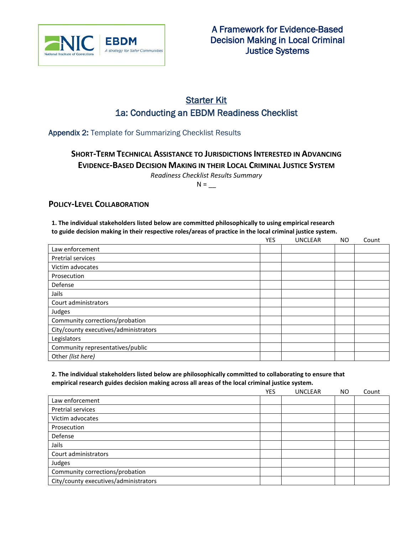

# Starter Kit 1a: Conducting an EBDM Readiness Checklist

Appendix 2: Template for Summarizing Checklist Results

**SHORT-TERM TECHNICAL ASSISTANCE TO JURISDICTIONS INTERESTED IN ADVANCING EVIDENCE-BASED DECISION MAKING IN THEIR LOCAL CRIMINAL JUSTICE SYSTEM**

*Readiness Checklist Results Summary*

 $N =$ 

### **POLICY-LEVEL COLLABORATION**

**1. The individual stakeholders listed below are committed philosophically to using empirical research** 

**to guide decision making in their respective roles/areas of practice in the local criminal justice system.**

|                                       | <b>YES</b> | <b>UNCLEAR</b> | <b>NO</b> | Count |
|---------------------------------------|------------|----------------|-----------|-------|
| Law enforcement                       |            |                |           |       |
| <b>Pretrial services</b>              |            |                |           |       |
| Victim advocates                      |            |                |           |       |
| Prosecution                           |            |                |           |       |
| Defense                               |            |                |           |       |
| Jails                                 |            |                |           |       |
| Court administrators                  |            |                |           |       |
| Judges                                |            |                |           |       |
| Community corrections/probation       |            |                |           |       |
| City/county executives/administrators |            |                |           |       |
| Legislators                           |            |                |           |       |
| Community representatives/public      |            |                |           |       |
| Other (list here)                     |            |                |           |       |

### **2. The individual stakeholders listed below are philosophically committed to collaborating to ensure that empirical research guides decision making across all areas of the local criminal justice system.**

|                                       | <b>YES</b> | <b>UNCLEAR</b> | <b>NO</b> | Count |
|---------------------------------------|------------|----------------|-----------|-------|
| Law enforcement                       |            |                |           |       |
| Pretrial services                     |            |                |           |       |
| Victim advocates                      |            |                |           |       |
| Prosecution                           |            |                |           |       |
| Defense                               |            |                |           |       |
| Jails                                 |            |                |           |       |
| Court administrators                  |            |                |           |       |
| Judges                                |            |                |           |       |
| Community corrections/probation       |            |                |           |       |
| City/county executives/administrators |            |                |           |       |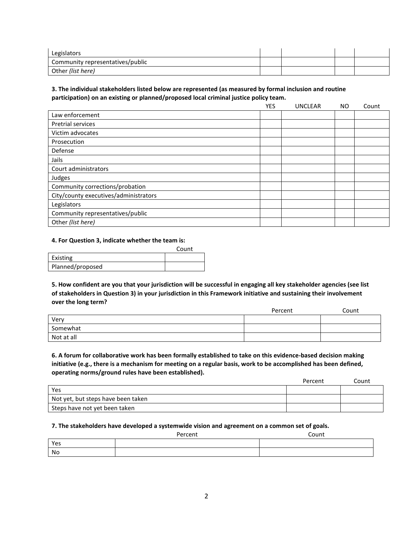| Legislators                      |  |  |
|----------------------------------|--|--|
| Community representatives/public |  |  |
| Other (list here)                |  |  |

### **3. The individual stakeholders listed below are represented (as measured by formal inclusion and routine participation) on an existing or planned/proposed local criminal justice policy team.**

|                                       | <b>YES</b> | <b>UNCLEAR</b> | <b>NO</b> | Count |
|---------------------------------------|------------|----------------|-----------|-------|
| Law enforcement                       |            |                |           |       |
| <b>Pretrial services</b>              |            |                |           |       |
| Victim advocates                      |            |                |           |       |
| Prosecution                           |            |                |           |       |
| Defense                               |            |                |           |       |
| Jails                                 |            |                |           |       |
| Court administrators                  |            |                |           |       |
| Judges                                |            |                |           |       |
| Community corrections/probation       |            |                |           |       |
| City/county executives/administrators |            |                |           |       |
| Legislators                           |            |                |           |       |
| Community representatives/public      |            |                |           |       |
| Other (list here)                     |            |                |           |       |

### **4. For Question 3, indicate whether the team is:**

|                  | Count |
|------------------|-------|
| Existing         |       |
| Planned/proposed |       |

**5. How confident are you that your jurisdiction will be successful in engaging all key stakeholder agencies (see list of stakeholders in Question 3) in your jurisdiction in this Framework initiative and sustaining their involvement over the long term?**

|            | Percent | Count |
|------------|---------|-------|
| Very       |         |       |
| Somewhat   |         |       |
| Not at all |         |       |

**6. A forum for collaborative work has been formally established to take on this evidence-based decision making initiative (e.g., there is a mechanism for meeting on a regular basis, work to be accomplished has been defined, operating norms/ground rules have been established).**

|                                    | Percent | Count |
|------------------------------------|---------|-------|
| Yes                                |         |       |
| Not yet, but steps have been taken |         |       |
| Steps have not yet been taken      |         |       |

#### **7. The stakeholders have developed a systemwide vision and agreement on a common set of goals.**

|     | Percent | Count |
|-----|---------|-------|
| Yes |         |       |
| No  |         |       |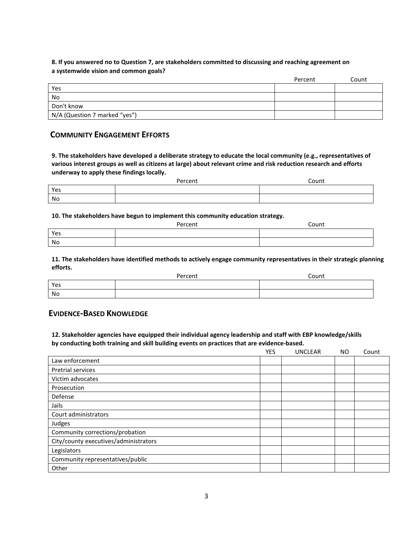### **8. If you answered no to Question 7, are stakeholders committed to discussing and reaching agreement on a systemwide vision and common goals?**

|                               | Percent | Count |
|-------------------------------|---------|-------|
| Yes                           |         |       |
| No                            |         |       |
| Don't know                    |         |       |
| N/A (Question 7 marked "yes") |         |       |

### **COMMUNITY ENGAGEMENT EFFORTS**

**9. The stakeholders have developed a deliberate strategy to educate the local community (e.g., representatives of various interest groups as well as citizens at large) about relevant crime and risk reduction research and efforts underway to apply these findings locally.**

|     | Percent | Count |
|-----|---------|-------|
| Yes |         |       |
| No  |         |       |

### **10. The stakeholders have begun to implement this community education strategy.**

|     | Percent | Count |
|-----|---------|-------|
| Yes |         |       |
| No  |         |       |

**11. The stakeholders have identified methods to actively engage community representatives in their strategic planning efforts.**

|     | Percent | Count |
|-----|---------|-------|
| Yes |         |       |
| No  |         |       |

### **EVIDENCE-BASED KNOWLEDGE**

**12. Stakeholder agencies have equipped their individual agency leadership and staff with EBP knowledge/skills by conducting both training and skill building events on practices that are evidence-based.**

|                                       | <b>YES</b> | <b>UNCLEAR</b> | <b>NO</b> | Count |
|---------------------------------------|------------|----------------|-----------|-------|
| Law enforcement                       |            |                |           |       |
| Pretrial services                     |            |                |           |       |
| Victim advocates                      |            |                |           |       |
| Prosecution                           |            |                |           |       |
| Defense                               |            |                |           |       |
| Jails                                 |            |                |           |       |
| Court administrators                  |            |                |           |       |
| Judges                                |            |                |           |       |
| Community corrections/probation       |            |                |           |       |
| City/county executives/administrators |            |                |           |       |
| Legislators                           |            |                |           |       |
| Community representatives/public      |            |                |           |       |
| Other                                 |            |                |           |       |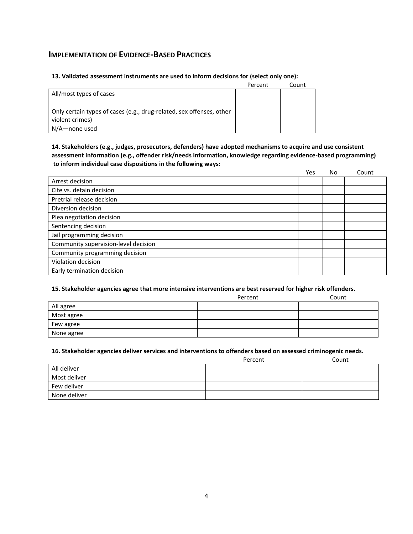### **IMPLEMENTATION OF EVIDENCE-BASED PRACTICES**

### **13. Validated assessment instruments are used to inform decisions for (select only one):**

|                                                                      | Percent | Count |
|----------------------------------------------------------------------|---------|-------|
| All/most types of cases                                              |         |       |
|                                                                      |         |       |
| Only certain types of cases (e.g., drug-related, sex offenses, other |         |       |
| violent crimes)                                                      |         |       |
| N/A—none used                                                        |         |       |

### **14. Stakeholders (e.g., judges, prosecutors, defenders) have adopted mechanisms to acquire and use consistent assessment information (e.g., offender risk/needs information, knowledge regarding evidence-based programming) to inform individual case dispositions in the following ways:**

|                                      | Yes | No | Count |
|--------------------------------------|-----|----|-------|
| Arrest decision                      |     |    |       |
| Cite vs. detain decision             |     |    |       |
| Pretrial release decision            |     |    |       |
| Diversion decision                   |     |    |       |
| Plea negotiation decision            |     |    |       |
| Sentencing decision                  |     |    |       |
| Jail programming decision            |     |    |       |
| Community supervision-level decision |     |    |       |
| Community programming decision       |     |    |       |
| Violation decision                   |     |    |       |
| Early termination decision           |     |    |       |

#### **15. Stakeholder agencies agree that more intensive interventions are best reserved for higher risk offenders.**

|            | Percent | Count |
|------------|---------|-------|
| All agree  |         |       |
| Most agree |         |       |
| Few agree  |         |       |
| None agree |         |       |

#### **16. Stakeholder agencies deliver services and interventions to offenders based on assessed criminogenic needs.**

|              | Percent | Count |
|--------------|---------|-------|
| All deliver  |         |       |
| Most deliver |         |       |
| Few deliver  |         |       |
| None deliver |         |       |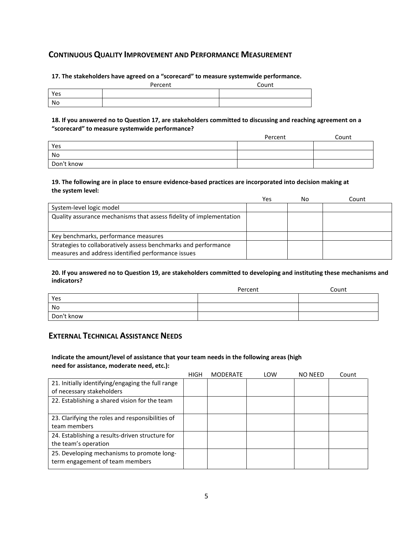# **CONTINUOUS QUALITY IMPROVEMENT AND PERFORMANCE MEASUREMENT**

**17. The stakeholders have agreed on a "scorecard" to measure systemwide performance.**

|     | Percent | Count |
|-----|---------|-------|
| Yes |         |       |
| No  |         |       |

**18. If you answered no to Question 17, are stakeholders committed to discussing and reaching agreement on a "scorecard" to measure systemwide performance?** 

|            | Percent | Count |
|------------|---------|-------|
| Yes        |         |       |
| No         |         |       |
| Don't know |         |       |

### **19. The following are in place to ensure evidence-based practices are incorporated into decision making at the system level:**

|                                                                                                                       | Yes | No | Count |
|-----------------------------------------------------------------------------------------------------------------------|-----|----|-------|
| System-level logic model                                                                                              |     |    |       |
| Quality assurance mechanisms that assess fidelity of implementation                                                   |     |    |       |
| Key benchmarks, performance measures                                                                                  |     |    |       |
| Strategies to collaboratively assess benchmarks and performance<br>measures and address identified performance issues |     |    |       |

#### **20. If you answered no to Question 19, are stakeholders committed to developing and instituting these mechanisms and indicators?**

|            | Percent | Count |
|------------|---------|-------|
| Yes        |         |       |
| No         |         |       |
| Don't know |         |       |

# **EXTERNAL TECHNICAL ASSISTANCE NEEDS**

### **Indicate the amount/level of assistance that your team needs in the following areas (high need for assistance, moderate need, etc.):**

|                                                                                | <b>HIGH</b> | <b>MODERATE</b> | LOW | <b>NO NEED</b> | Count |
|--------------------------------------------------------------------------------|-------------|-----------------|-----|----------------|-------|
| 21. Initially identifying/engaging the full range<br>of necessary stakeholders |             |                 |     |                |       |
| 22. Establishing a shared vision for the team                                  |             |                 |     |                |       |
| 23. Clarifying the roles and responsibilities of<br>team members               |             |                 |     |                |       |
| 24. Establishing a results-driven structure for<br>the team's operation        |             |                 |     |                |       |
| 25. Developing mechanisms to promote long-<br>term engagement of team members  |             |                 |     |                |       |